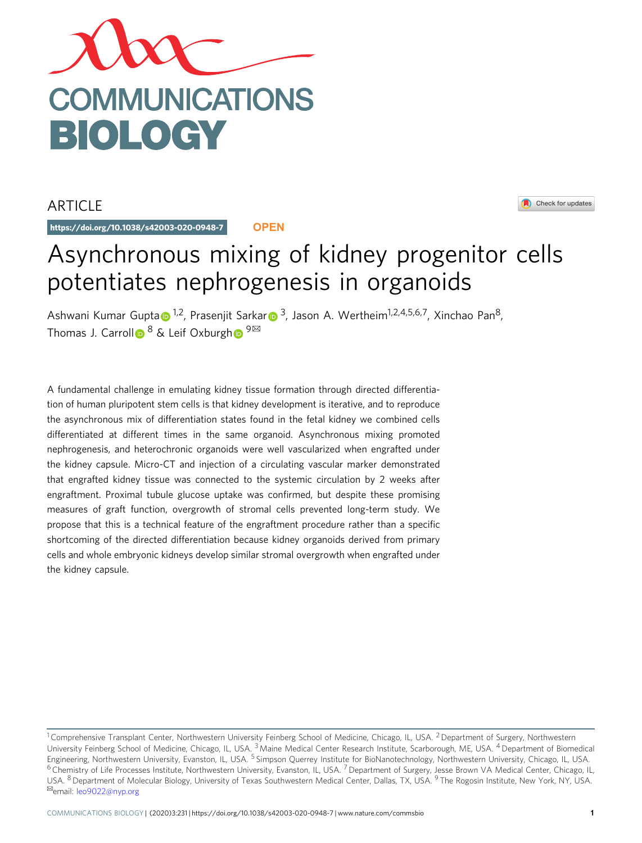

ARTICLE

https://doi.org/10.1038/s42003-020-0948-7 **OPEN**

Check for updates

# Asynchronous mixing of kidney progenitor cells potentiates nephrogenesis in organoids

Ashw[a](http://orcid.org/0000-0001-7069-5299)ni Kuma[r](http://orcid.org/0000-0001-6459-3181) Gupta $\bullet$  [1](http://orcid.org/0000-0001-7069-5299),2, Prasenjit Sarkar $\bullet$  <sup>3</sup>, Jason A. Wertheim<sup>1,2,4,5,6,7</sup>, Xinchao Pan<sup>8</sup>, Thomas J. Carro[l](http://orcid.org/0000-0002-8322-4928)l  $\bullet$  <sup>[8](http://orcid.org/0000-0002-8322-4928)</sup> & Leif Oxburg[h](http://orcid.org/0000-0002-2825-7663)  $\bullet$  <sup>9 $\boxtimes$ </sup>

A fundamental challenge in emulating kidney tissue formation through directed differentiation of human pluripotent stem cells is that kidney development is iterative, and to reproduce the asynchronous mix of differentiation states found in the fetal kidney we combined cells differentiated at different times in the same organoid. Asynchronous mixing promoted nephrogenesis, and heterochronic organoids were well vascularized when engrafted under the kidney capsule. Micro-CT and injection of a circulating vascular marker demonstrated that engrafted kidney tissue was connected to the systemic circulation by 2 weeks after engraftment. Proximal tubule glucose uptake was confirmed, but despite these promising measures of graft function, overgrowth of stromal cells prevented long-term study. We propose that this is a technical feature of the engraftment procedure rather than a specific shortcoming of the directed differentiation because kidney organoids derived from primary cells and whole embryonic kidneys develop similar stromal overgrowth when engrafted under the kidney capsule.

<sup>&</sup>lt;sup>1</sup> Comprehensive Transplant Center, Northwestern University Feinberg School of Medicine, Chicago, IL, USA. <sup>2</sup> Department of Surgery, Northwestern University Feinberg School of Medicine, Chicago, IL, USA. <sup>3</sup> Maine Medical Center Research Institute, Scarborough, ME, USA. <sup>4</sup> Department of Biomedical Engineering, Northwestern University, Evanston, IL, USA. <sup>5</sup> Simpson Querrey Institute for BioNanotechnology, Northwestern University, Chicago, IL, USA. <sup>6</sup> Chemistry of Life Processes Institute, Northwestern University, Evanston, IL, USA. <sup>7</sup>Department of Surgery, Jesse Brown VA Medical Center, Chicago, IL, USA. <sup>8</sup> Department of Molecular Biology, University of Texas Southwestern Medical Center, Dallas, TX, USA. <sup>9</sup> The Rogosin Institute, New York, NY, USA. ✉email: [leo9022@nyp.org](mailto:leo9022@nyp.org)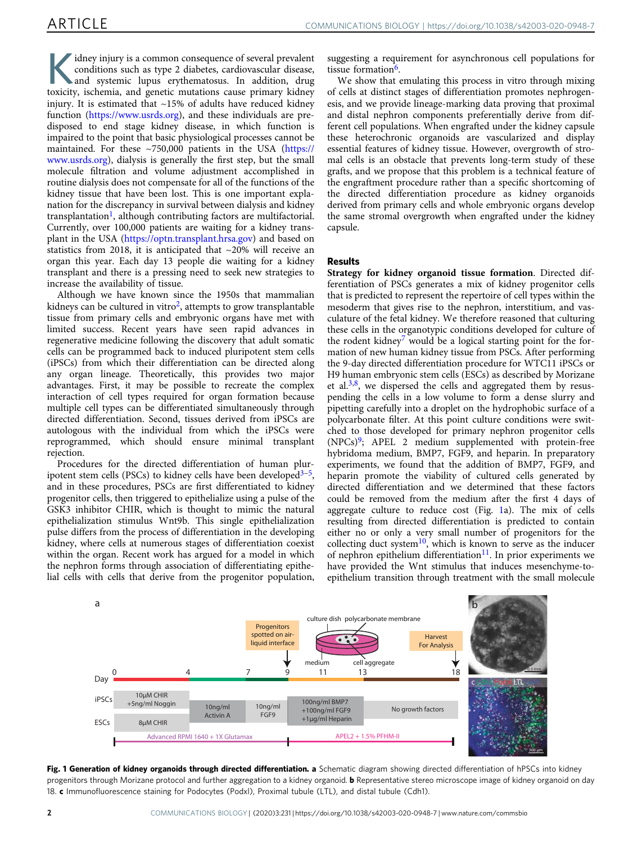<span id="page-1-0"></span>K idney injury is a common consequence of several prevalent conditions such as type 2 diabetes, cardiovascular disease, and systemic lupus erythematosus. In addition, drug toxicity, ischemia, and genetic mutations cause primary kidney injury. It is estimated that  $\sim$ 15% of adults have reduced kidney function [\(https://www.usrds.org\)](https://www.usrds.org), and these individuals are predisposed to end stage kidney disease, in which function is impaired to the point that basic physiological processes cannot be maintained. For these  $\approx$ 750,000 patients in the USA [\(https://](https://www.usrds.org) [www.usrds.org\)](https://www.usrds.org), dialysis is generally the first step, but the small molecule filtration and volume adjustment accomplished in routine dialysis does not compensate for all of the functions of the kidney tissue that have been lost. This is one important explanation for the discrepancy in survival between dialysis and kidney transplantation<sup>[1](#page-9-0)</sup>, although contributing factors are multifactorial. Currently, over 100,000 patients are waiting for a kidney transplant in the USA [\(https://optn.transplant.hrsa.gov](https://optn.transplant.hrsa.gov)) and based on statistics from 2018, it is anticipated that  $\sim$ 20% will receive an organ this year. Each day 13 people die waiting for a kidney transplant and there is a pressing need to seek new strategies to increase the availability of tissue.

Although we have known since the 1950s that mammalian kidneys can be cultured in vitro<sup>[2](#page-9-0)</sup>, attempts to grow transplantable tissue from primary cells and embryonic organs have met with limited success. Recent years have seen rapid advances in regenerative medicine following the discovery that adult somatic cells can be programmed back to induced pluripotent stem cells (iPSCs) from which their differentiation can be directed along any organ lineage. Theoretically, this provides two major advantages. First, it may be possible to recreate the complex interaction of cell types required for organ formation because multiple cell types can be differentiated simultaneously through directed differentiation. Second, tissues derived from iPSCs are autologous with the individual from which the iPSCs were reprogrammed, which should ensure minimal transplant rejection.

Procedures for the directed differentiation of human plur-ipotent stem cells (PSCs) to kidney cells have been developed<sup>[3](#page-9-0)-[5](#page-9-0)</sup>, and in these procedures, PSCs are first differentiated to kidney progenitor cells, then triggered to epithelialize using a pulse of the GSK3 inhibitor CHIR, which is thought to mimic the natural epithelialization stimulus Wnt9b. This single epithelialization pulse differs from the process of differentiation in the developing kidney, where cells at numerous stages of differentiation coexist within the organ. Recent work has argued for a model in which the nephron forms through association of differentiating epithelial cells with cells that derive from the progenitor population,

suggesting a requirement for asynchronous cell populations for tissue formation<sup>[6](#page-9-0)</sup>.

We show that emulating this process in vitro through mixing of cells at distinct stages of differentiation promotes nephrogenesis, and we provide lineage-marking data proving that proximal and distal nephron components preferentially derive from different cell populations. When engrafted under the kidney capsule these heterochronic organoids are vascularized and display essential features of kidney tissue. However, overgrowth of stromal cells is an obstacle that prevents long-term study of these grafts, and we propose that this problem is a technical feature of the engraftment procedure rather than a specific shortcoming of the directed differentiation procedure as kidney organoids derived from primary cells and whole embryonic organs develop the same stromal overgrowth when engrafted under the kidney capsule.

## Results

Strategy for kidney organoid tissue formation. Directed differentiation of PSCs generates a mix of kidney progenitor cells that is predicted to represent the repertoire of cell types within the mesoderm that gives rise to the nephron, interstitium, and vasculature of the fetal kidney. We therefore reasoned that culturing these cells in the organotypic conditions developed for culture of the rodent kidney<sup>[7](#page-9-0)</sup> would be a logical starting point for the formation of new human kidney tissue from PSCs. After performing the 9-day directed differentiation procedure for WTC11 iPSCs or H9 human embryonic stem cells (ESCs) as described by Morizane et al.<sup>[3,8](#page-9-0)</sup>, we dispersed the cells and aggregated them by resuspending the cells in a low volume to form a dense slurry and pipetting carefully into a droplet on the hydrophobic surface of a polycarbonate filter. At this point culture conditions were switched to those developed for primary nephron progenitor cells (NPCs)<sup>[9](#page-9-0)</sup>; APEL 2 medium supplemented with protein-free hybridoma medium, BMP7, FGF9, and heparin. In preparatory experiments, we found that the addition of BMP7, FGF9, and heparin promote the viability of cultured cells generated by directed differentiation and we determined that these factors could be removed from the medium after the first 4 days of aggregate culture to reduce cost (Fig. 1a). The mix of cells resulting from directed differentiation is predicted to contain either no or only a very small number of progenitors for the collecting duct system $10$ , which is known to serve as the inducer of nephron epithelium differentiation $11$ . In prior experiments we have provided the Wnt stimulus that induces mesenchyme-toepithelium transition through treatment with the small molecule



Fig. 1 Generation of kidney organoids through directed differentiation. a Schematic diagram showing directed differentiation of hPSCs into kidney progenitors through Morizane protocol and further aggregation to a kidney organoid. **b** Representative stereo microscope image of kidney organoid on day 18. c Immunofluorescence staining for Podocytes (Podxl), Proximal tubule (LTL), and distal tubule (Cdh1).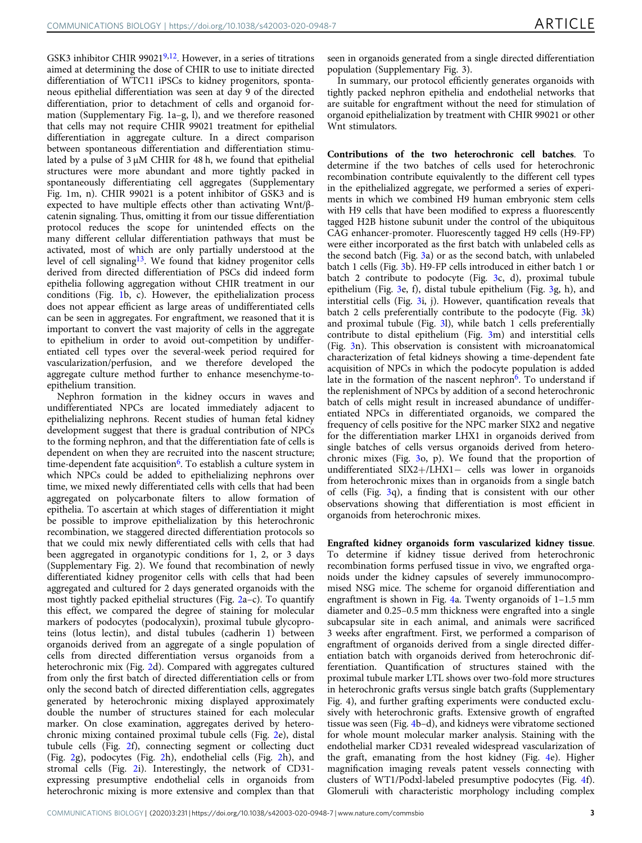GSK3 inhibitor CHIR [9](#page-9-0)9021 $\frac{9,12}{1}$  $\frac{9,12}{1}$  $\frac{9,12}{1}$ . However, in a series of titrations aimed at determining the dose of CHIR to use to initiate directed differentiation of WTC11 iPSCs to kidney progenitors, spontaneous epithelial differentiation was seen at day 9 of the directed differentiation, prior to detachment of cells and organoid formation (Supplementary Fig. 1a–g, l), and we therefore reasoned that cells may not require CHIR 99021 treatment for epithelial differentiation in aggregate culture. In a direct comparison between spontaneous differentiation and differentiation stimulated by a pulse of 3 µM CHIR for 48 h, we found that epithelial structures were more abundant and more tightly packed in spontaneously differentiating cell aggregates (Supplementary Fig. 1m, n). CHIR 99021 is a potent inhibitor of GSK3 and is expected to have multiple effects other than activating Wnt/βcatenin signaling. Thus, omitting it from our tissue differentiation protocol reduces the scope for unintended effects on the many different cellular differentiation pathways that must be activated, most of which are only partially understood at the level of cell signaling<sup>[13](#page-10-0)</sup>. We found that kidney progenitor cells derived from directed differentiation of PSCs did indeed form epithelia following aggregation without CHIR treatment in our conditions (Fig. [1b](#page-1-0), c). However, the epithelialization process does not appear efficient as large areas of undifferentiated cells can be seen in aggregates. For engraftment, we reasoned that it is important to convert the vast majority of cells in the aggregate to epithelium in order to avoid out-competition by undifferentiated cell types over the several-week period required for vascularization/perfusion, and we therefore developed the aggregate culture method further to enhance mesenchyme-toepithelium transition.

Nephron formation in the kidney occurs in waves and undifferentiated NPCs are located immediately adjacent to epithelializing nephrons. Recent studies of human fetal kidney development suggest that there is gradual contribution of NPCs to the forming nephron, and that the differentiation fate of cells is dependent on when they are recruited into the nascent structure; time-dependent fate acquisition<sup>[6](#page-9-0)</sup>. To establish a culture system in which NPCs could be added to epithelializing nephrons over time, we mixed newly differentiated cells with cells that had been aggregated on polycarbonate filters to allow formation of epithelia. To ascertain at which stages of differentiation it might be possible to improve epithelialization by this heterochronic recombination, we staggered directed differentiation protocols so that we could mix newly differentiated cells with cells that had been aggregated in organotypic conditions for 1, 2, or 3 days (Supplementary Fig. 2). We found that recombination of newly differentiated kidney progenitor cells with cells that had been aggregated and cultured for 2 days generated organoids with the most tightly packed epithelial structures (Fig. [2](#page-3-0)a–c). To quantify this effect, we compared the degree of staining for molecular markers of podocytes (podocalyxin), proximal tubule glycoproteins (lotus lectin), and distal tubules (cadherin 1) between organoids derived from an aggregate of a single population of cells from directed differentiation versus organoids from a heterochronic mix (Fig. [2d](#page-3-0)). Compared with aggregates cultured from only the first batch of directed differentiation cells or from only the second batch of directed differentiation cells, aggregates generated by heterochronic mixing displayed approximately double the number of structures stained for each molecular marker. On close examination, aggregates derived by heterochronic mixing contained proximal tubule cells (Fig. [2](#page-3-0)e), distal tubule cells (Fig. [2f](#page-3-0)), connecting segment or collecting duct (Fig. [2g](#page-3-0)), podocytes (Fig. [2](#page-3-0)h), endothelial cells (Fig. [2](#page-3-0)h), and stromal cells (Fig. [2](#page-3-0)i). Interestingly, the network of CD31 expressing presumptive endothelial cells in organoids from heterochronic mixing is more extensive and complex than that

seen in organoids generated from a single directed differentiation population (Supplementary Fig. 3).

In summary, our protocol efficiently generates organoids with tightly packed nephron epithelia and endothelial networks that are suitable for engraftment without the need for stimulation of organoid epithelialization by treatment with CHIR 99021 or other Wnt stimulators.

Contributions of the two heterochronic cell batches. To determine if the two batches of cells used for heterochronic recombination contribute equivalently to the different cell types in the epithelialized aggregate, we performed a series of experiments in which we combined H9 human embryonic stem cells with H9 cells that have been modified to express a fluorescently tagged H2B histone subunit under the control of the ubiquitous CAG enhancer-promoter. Fluorescently tagged H9 cells (H9-FP) were either incorporated as the first batch with unlabeled cells as the second batch (Fig. [3](#page-4-0)a) or as the second batch, with unlabeled batch 1 cells (Fig. [3](#page-4-0)b). H9-FP cells introduced in either batch 1 or batch 2 contribute to podocyte (Fig. [3](#page-4-0)c, d), proximal tubule epithelium (Fig. [3e](#page-4-0), f), distal tubule epithelium (Fig. [3g](#page-4-0), h), and interstitial cells (Fig. [3](#page-4-0)i, j). However, quantification reveals that batch 2 cells preferentially contribute to the podocyte (Fig. [3k](#page-4-0)) and proximal tubule (Fig. [3l](#page-4-0)), while batch 1 cells preferentially contribute to distal epithelium (Fig. [3](#page-4-0)m) and interstitial cells (Fig. [3n](#page-4-0)). This observation is consistent with microanatomical characterization of fetal kidneys showing a time-dependent fate acquisition of NPCs in which the podocyte population is added late in the formation of the nascent nephron<sup>[6](#page-9-0)</sup>. To understand if the replenishment of NPCs by addition of a second heterochronic batch of cells might result in increased abundance of undifferentiated NPCs in differentiated organoids, we compared the frequency of cells positive for the NPC marker SIX2 and negative for the differentiation marker LHX1 in organoids derived from single batches of cells versus organoids derived from heterochronic mixes (Fig. [3](#page-4-0)o, p). We found that the proportion of undifferentiated SIX2+/LHX1− cells was lower in organoids from heterochronic mixes than in organoids from a single batch of cells (Fig. [3](#page-4-0)q), a finding that is consistent with our other observations showing that differentiation is most efficient in organoids from heterochronic mixes.

Engrafted kidney organoids form vascularized kidney tissue. To determine if kidney tissue derived from heterochronic recombination forms perfused tissue in vivo, we engrafted organoids under the kidney capsules of severely immunocompromised NSG mice. The scheme for organoid differentiation and engraftment is shown in Fig. [4a](#page-5-0). Twenty organoids of 1–1.5 mm diameter and 0.25–0.5 mm thickness were engrafted into a single subcapsular site in each animal, and animals were sacrificed 3 weeks after engraftment. First, we performed a comparison of engraftment of organoids derived from a single directed differentiation batch with organoids derived from heterochronic differentiation. Quantification of structures stained with the proximal tubule marker LTL shows over two-fold more structures in heterochronic grafts versus single batch grafts (Supplementary Fig. 4), and further grafting experiments were conducted exclusively with heterochronic grafts. Extensive growth of engrafted tissue was seen (Fig. [4b](#page-5-0)–d), and kidneys were vibratome sectioned for whole mount molecular marker analysis. Staining with the endothelial marker CD31 revealed widespread vascularization of the graft, emanating from the host kidney (Fig. [4e](#page-5-0)). Higher magnification imaging reveals patent vessels connecting with clusters of WT1/Podxl-labeled presumptive podocytes (Fig. [4f](#page-5-0)). Glomeruli with characteristic morphology including complex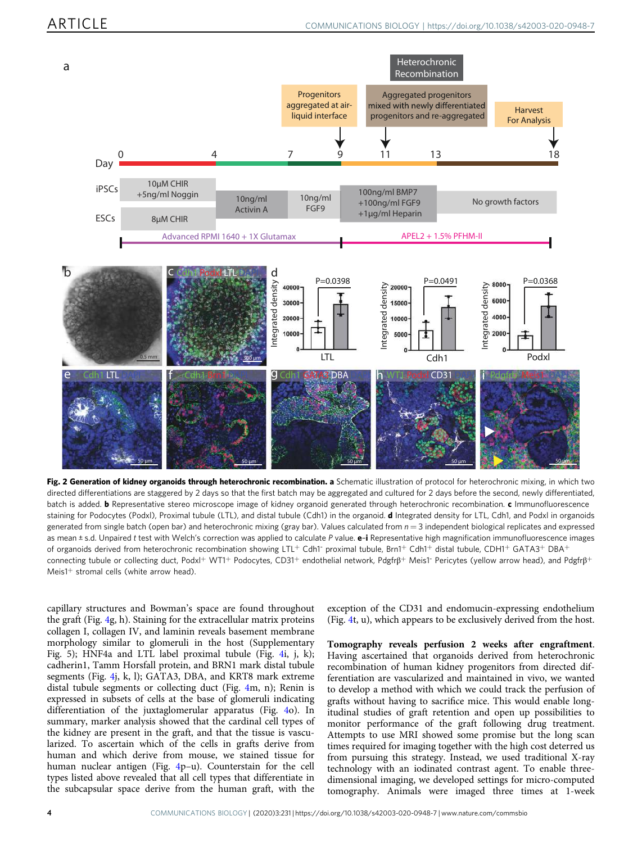<span id="page-3-0"></span>

Fig. 2 Generation of kidney organoids through heterochronic recombination. a Schematic illustration of protocol for heterochronic mixing, in which two directed differentiations are staggered by 2 days so that the first batch may be aggregated and cultured for 2 days before the second, newly differentiated, batch is added. **b** Representative stereo microscope image of kidney organoid generated through heterochronic recombination. c Immunofluorescence staining for Podocytes (Podxl), Proximal tubule (LTL), and distal tubule (Cdh1) in the organoid. d Integrated density for LTL, Cdh1, and Podxl in organoids generated from single batch (open bar) and heterochronic mixing (gray bar). Values calculated from  $n = 3$  independent biological replicates and expressed as mean ± s.d. Unpaired t test with Welch's correction was applied to calculate P value. e-i Representative high magnification immunofluorescence images of organoids derived from heterochronic recombination showing LTL+ Cdh1<sup>-</sup> proximal tubule, Brn1+ Cdh1+ distal tubule, CDH1+ GATA3+ DBA+ connecting tubule or collecting duct, Podxl<sup>+</sup> WT1+ Podocytes, CD31+ endothelial network, Pdgfrβ+ Meis1<sup>-</sup> Pericytes (yellow arrow head), and Pdgfrβ+ Meis1<sup>+</sup> stromal cells (white arrow head).

capillary structures and Bowman's space are found throughout the graft (Fig. [4g](#page-5-0), h). Staining for the extracellular matrix proteins collagen I, collagen IV, and laminin reveals basement membrane morphology similar to glomeruli in the host (Supplementary Fig. 5); HNF4a and LTL label proximal tubule (Fig. [4i](#page-5-0), j, k); cadherin1, Tamm Horsfall protein, and BRN1 mark distal tubule segments (Fig. [4j](#page-5-0), k, l); GATA3, DBA, and KRT8 mark extreme distal tubule segments or collecting duct (Fig. [4m](#page-5-0), n); Renin is expressed in subsets of cells at the base of glomeruli indicating differentiation of the juxtaglomerular apparatus (Fig. [4o](#page-5-0)). In summary, marker analysis showed that the cardinal cell types of the kidney are present in the graft, and that the tissue is vascularized. To ascertain which of the cells in grafts derive from human and which derive from mouse, we stained tissue for human nuclear antigen (Fig. [4](#page-5-0)p–u). Counterstain for the cell types listed above revealed that all cell types that differentiate in the subcapsular space derive from the human graft, with the exception of the CD31 and endomucin-expressing endothelium (Fig. [4t](#page-5-0), u), which appears to be exclusively derived from the host.

Tomography reveals perfusion 2 weeks after engraftment. Having ascertained that organoids derived from heterochronic recombination of human kidney progenitors from directed differentiation are vascularized and maintained in vivo, we wanted to develop a method with which we could track the perfusion of grafts without having to sacrifice mice. This would enable longitudinal studies of graft retention and open up possibilities to monitor performance of the graft following drug treatment. Attempts to use MRI showed some promise but the long scan times required for imaging together with the high cost deterred us from pursuing this strategy. Instead, we used traditional X-ray technology with an iodinated contrast agent. To enable threedimensional imaging, we developed settings for micro-computed tomography. Animals were imaged three times at 1-week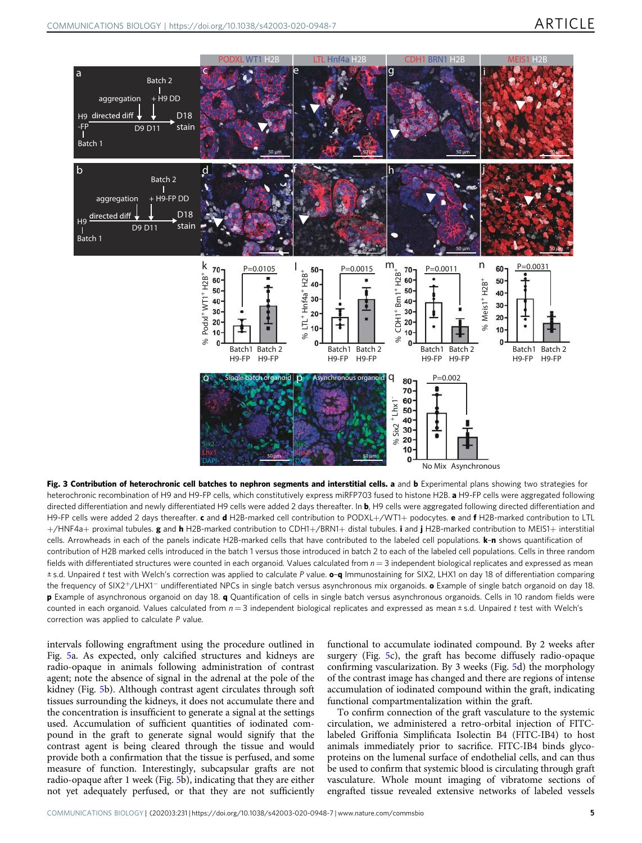<span id="page-4-0"></span>

Fig. 3 Contribution of heterochronic cell batches to nephron segments and interstitial cells. a and b Experimental plans showing two strategies for heterochronic recombination of H9 and H9-FP cells, which constitutively express miRFP703 fused to histone H2B. a H9-FP cells were aggregated following directed differentiation and newly differentiated H9 cells were added 2 days thereafter. In b, H9 cells were aggregated following directed differentiation and H9-FP cells were added 2 days thereafter. c and d H2B-marked cell contribution to PODXL+/WT1+ podocytes. e and f H2B-marked contribution to LTL +/HNF4a+ proximal tubules. g and h H2B-marked contribution to CDH1+/BRN1+ distal tubules. i and j H2B-marked contribution to MEIS1+ interstitial cells. Arrowheads in each of the panels indicate H2B-marked cells that have contributed to the labeled cell populations. k-n shows quantification of contribution of H2B marked cells introduced in the batch 1 versus those introduced in batch 2 to each of the labeled cell populations. Cells in three random fields with differentiated structures were counted in each organoid. Values calculated from  $n = 3$  independent biological replicates and expressed as mean ± s.d. Unpaired t test with Welch's correction was applied to calculate P value. o-q Immunostaining for SIX2, LHX1 on day 18 of differentiation comparing the frequency of SIX2+/LHX1<sup>−</sup> undifferentiated NPCs in single batch versus asynchronous mix organoids. o Example of single batch organoid on day 18. p Example of asynchronous organoid on day 18. q Quantification of cells in single batch versus asynchronous organoids. Cells in 10 random fields were counted in each organoid. Values calculated from  $n = 3$  independent biological replicates and expressed as mean  $\pm$  s.d. Unpaired t test with Welch's correction was applied to calculate P value.

intervals following engraftment using the procedure outlined in Fig. [5](#page-6-0)a. As expected, only calcified structures and kidneys are radio-opaque in animals following administration of contrast agent; note the absence of signal in the adrenal at the pole of the kidney (Fig. [5b](#page-6-0)). Although contrast agent circulates through soft tissues surrounding the kidneys, it does not accumulate there and the concentration is insufficient to generate a signal at the settings used. Accumulation of sufficient quantities of iodinated compound in the graft to generate signal would signify that the contrast agent is being cleared through the tissue and would provide both a confirmation that the tissue is perfused, and some measure of function. Interestingly, subcapsular grafts are not radio-opaque after 1 week (Fig. [5b](#page-6-0)), indicating that they are either not yet adequately perfused, or that they are not sufficiently

functional to accumulate iodinated compound. By 2 weeks after surgery (Fig. [5](#page-6-0)c), the graft has become diffusely radio-opaque confirming vascularization. By 3 weeks (Fig. [5d](#page-6-0)) the morphology of the contrast image has changed and there are regions of intense accumulation of iodinated compound within the graft, indicating functional compartmentalization within the graft.

To confirm connection of the graft vasculature to the systemic circulation, we administered a retro-orbital injection of FITClabeled Griffonia Simplificata Isolectin B4 (FITC-IB4) to host animals immediately prior to sacrifice. FITC-IB4 binds glycoproteins on the lumenal surface of endothelial cells, and can thus be used to confirm that systemic blood is circulating through graft vasculature. Whole mount imaging of vibratome sections of engrafted tissue revealed extensive networks of labeled vessels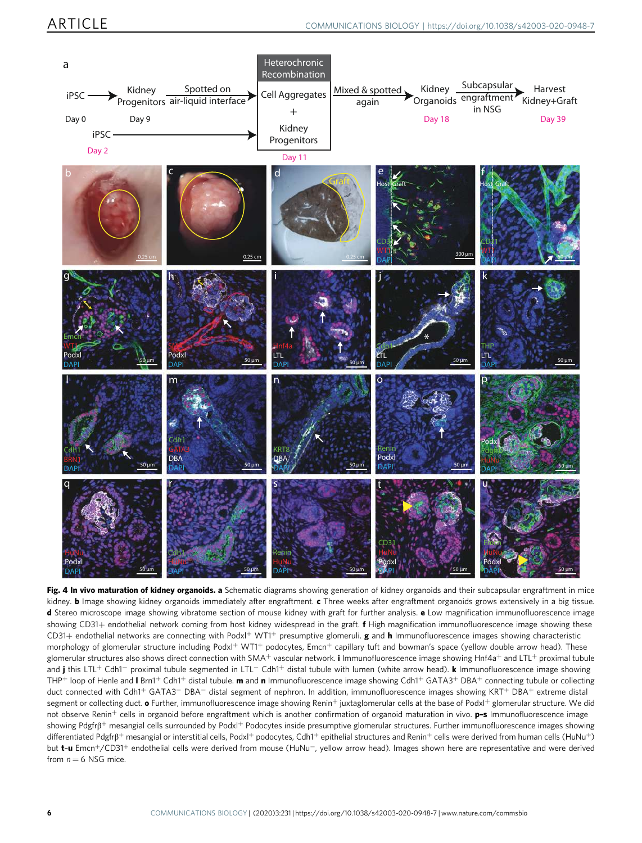<span id="page-5-0"></span>

Fig. 4 In vivo maturation of kidney organoids. a Schematic diagrams showing generation of kidney organoids and their subcapsular engraftment in mice kidney. **b** Image showing kidney organoids immediately after engraftment. c Three weeks after engraftment organoids grows extensively in a big tissue. d Stereo microscope image showing vibratome section of mouse kidney with graft for further analysis. e Low magnification immunofluorescence image showing CD31+ endothelial network coming from host kidney widespread in the graft. f High magnification immunofluorescence image showing these CD31+ endothelial networks are connecting with Podxl<sup>+</sup> WT1+ presumptive glomeruli. **g** and **h** Immunofluorescence images showing characteristic morphology of glomerular structure including Podxl<sup>+</sup> WT1+ podocytes, Emcn<sup>+</sup> capillary tuft and bowman's space (yellow double arrow head). These glomerular structures also shows direct connection with SMA+ vascular network. *i* Immunofluorescence image showing Hnf4a+ and LTL+ proximal tubule and j this LTL+ Cdh1− proximal tubule segmented in LTL− Cdh1+ distal tubule with lumen (white arrow head). k Immunofluorescence image showing THP+ loop of Henle and I Brn1+ Cdh1+ distal tubule. m and n Immunofluorescence image showing Cdh1+ GATA3+ DBA+ connecting tubule or collecting duct connected with Cdh1<sup>+</sup> GATA3<sup>−</sup> DBA<sup>−</sup> distal segment of nephron. In addition, immunofluorescence images showing KRT<sup>+</sup> DBA<sup>+</sup> extreme distal segment or collecting duct. o Further, immunofluorescence image showing Renin+ juxtaglomerular cells at the base of Podxl+ glomerular structure. We did not observe Renin<sup>+</sup> cells in organoid before engraftment which is another confirmation of organoid maturation in vivo. p-s Immunofluorescence image showing Pdgfrβ<sup>+</sup> mesangial cells surrounded by Podxl<sup>+</sup> Podocytes inside presumptive glomerular structures. Further immunofluorescence images showing differentiated Pdgfr $\beta^+$  mesangial or interstitial cells, Podxl<sup>+</sup> podocytes, Cdh1<sup>+</sup> epithelial structures and Renin<sup>+</sup> cells were derived from human cells (HuNu<sup>+</sup>) but t-u Emcn+/CD31+ endothelial cells were derived from mouse (HuNu−, yellow arrow head). Images shown here are representative and were derived from  $n = 6$  NSG mice.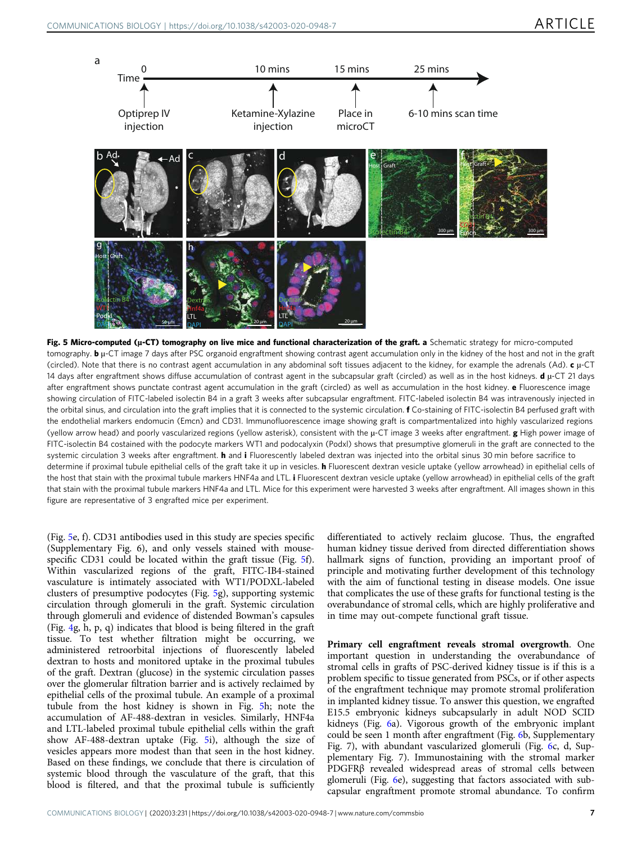<span id="page-6-0"></span>

Fig. 5 Micro-computed (µ-CT) tomography on live mice and functional characterization of the graft. a Schematic strategy for micro-computed tomography. **b**  $\mu$ -CT image 7 days after PSC organoid engraftment showing contrast agent accumulation only in the kidney of the host and not in the graft (circled). Note that there is no contrast agent accumulation in any abdominal soft tissues adjacent to the kidney, for example the adrenals (Ad). c µ-CT 14 days after engraftment shows diffuse accumulation of contrast agent in the subcapsular graft (circled) as well as in the host kidneys.  $d \mu$ -CT 21 days after engraftment shows punctate contrast agent accumulation in the graft (circled) as well as accumulation in the host kidney. e Fluorescence image showing circulation of FITC-labeled isolectin B4 in a graft 3 weeks after subcapsular engraftment. FITC-labeled isolectin B4 was intravenously injected in the orbital sinus, and circulation into the graft implies that it is connected to the systemic circulation. f Co-staining of FITC-isolectin B4 perfused graft with the endothelial markers endomucin (Emcn) and CD31. Immunofluorescence image showing graft is compartmentalized into highly vascularized regions (yellow arrow head) and poorly vascularized regions (yellow asterisk), consistent with the µ-CT image 3 weeks after engraftment. g High power image of FITC-isolectin B4 costained with the podocyte markers WT1 and podocalyxin (Podxl) shows that presumptive glomeruli in the graft are connected to the systemic circulation 3 weeks after engraftment. **h** and i Fluorescently labeled dextran was injected into the orbital sinus 30 min before sacrifice to determine if proximal tubule epithelial cells of the graft take it up in vesicles. **h** Fluorescent dextran vesicle uptake (yellow arrowhead) in epithelial cells of the host that stain with the proximal tubule markers HNF4a and LTL. i Fluorescent dextran vesicle uptake (yellow arrowhead) in epithelial cells of the graft that stain with the proximal tubule markers HNF4a and LTL. Mice for this experiment were harvested 3 weeks after engraftment. All images shown in this figure are representative of 3 engrafted mice per experiment.

(Fig. 5e, f). CD31 antibodies used in this study are species specific (Supplementary Fig. 6), and only vessels stained with mousespecific CD31 could be located within the graft tissue (Fig. 5f). Within vascularized regions of the graft, FITC-IB4-stained vasculature is intimately associated with WT1/PODXL-labeled clusters of presumptive podocytes (Fig. 5g), supporting systemic circulation through glomeruli in the graft. Systemic circulation through glomeruli and evidence of distended Bowman's capsules (Fig. [4](#page-5-0)g, h, p, q) indicates that blood is being filtered in the graft tissue. To test whether filtration might be occurring, we administered retroorbital injections of fluorescently labeled dextran to hosts and monitored uptake in the proximal tubules of the graft. Dextran (glucose) in the systemic circulation passes over the glomerular filtration barrier and is actively reclaimed by epithelial cells of the proximal tubule. An example of a proximal tubule from the host kidney is shown in Fig. 5h; note the accumulation of AF-488-dextran in vesicles. Similarly, HNF4a and LTL-labeled proximal tubule epithelial cells within the graft show AF-488-dextran uptake (Fig. 5i), although the size of vesicles appears more modest than that seen in the host kidney. Based on these findings, we conclude that there is circulation of systemic blood through the vasculature of the graft, that this blood is filtered, and that the proximal tubule is sufficiently

differentiated to actively reclaim glucose. Thus, the engrafted human kidney tissue derived from directed differentiation shows hallmark signs of function, providing an important proof of principle and motivating further development of this technology with the aim of functional testing in disease models. One issue that complicates the use of these grafts for functional testing is the overabundance of stromal cells, which are highly proliferative and in time may out-compete functional graft tissue.

Primary cell engraftment reveals stromal overgrowth. One important question in understanding the overabundance of stromal cells in grafts of PSC-derived kidney tissue is if this is a problem specific to tissue generated from PSCs, or if other aspects of the engraftment technique may promote stromal proliferation in implanted kidney tissue. To answer this question, we engrafted E15.5 embryonic kidneys subcapsularly in adult NOD SCID kidneys (Fig. [6](#page-7-0)a). Vigorous growth of the embryonic implant could be seen 1 month after engraftment (Fig. [6](#page-7-0)b, Supplementary Fig. 7), with abundant vascularized glomeruli (Fig. [6c](#page-7-0), d, Supplementary Fig. 7). Immunostaining with the stromal marker PDGFRβ revealed widespread areas of stromal cells between glomeruli (Fig. [6](#page-7-0)e), suggesting that factors associated with subcapsular engraftment promote stromal abundance. To confirm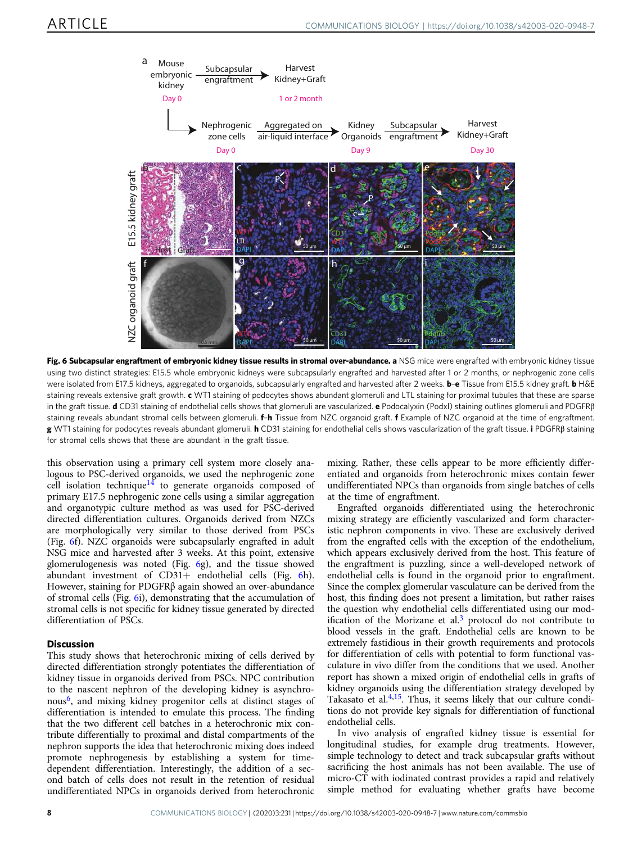<span id="page-7-0"></span>

Fig. 6 Subcapsular engraftment of embryonic kidney tissue results in stromal over-abundance. a NSG mice were engrafted with embryonic kidney tissue using two distinct strategies: E15.5 whole embryonic kidneys were subcapsularly engrafted and harvested after 1 or 2 months, or nephrogenic zone cells were isolated from E17.5 kidneys, aggregated to organoids, subcapsularly engrafted and harvested after 2 weeks. b-e Tissue from E15.5 kidney graft. b H&E staining reveals extensive graft growth. c WT1 staining of podocytes shows abundant glomeruli and LTL staining for proximal tubules that these are sparse in the graft tissue. **d** CD31 staining of endothelial cells shows that glomeruli are vascularized. **e** Podocalyxin (Podxl) staining outlines glomeruli and PDGFRβ staining reveals abundant stromal cells between glomeruli. f-h Tissue from NZC organoid graft. f Example of NZC organoid at the time of engraftment. g WT1 staining for podocytes reveals abundant glomeruli. h CD31 staining for endothelial cells shows vascularization of the graft tissue. i PDGFRβ staining for stromal cells shows that these are abundant in the graft tissue.

this observation using a primary cell system more closely analogous to PSC-derived organoids, we used the nephrogenic zone cell isolation technique<sup>[14](#page-10-0)</sup> to generate organoids composed of primary E17.5 nephrogenic zone cells using a similar aggregation and organotypic culture method as was used for PSC-derived directed differentiation cultures. Organoids derived from NZCs are morphologically very similar to those derived from PSCs (Fig. 6f). NZC organoids were subcapsularly engrafted in adult NSG mice and harvested after 3 weeks. At this point, extensive glomerulogenesis was noted (Fig. 6g), and the tissue showed abundant investment of  $CD31+$  endothelial cells (Fig. 6h). However, staining for PDGFRβ again showed an over-abundance of stromal cells (Fig. 6i), demonstrating that the accumulation of stromal cells is not specific for kidney tissue generated by directed differentiation of PSCs.

# **Discussion**

This study shows that heterochronic mixing of cells derived by directed differentiation strongly potentiates the differentiation of kidney tissue in organoids derived from PSCs. NPC contribution to the nascent nephron of the developing kidney is asynchro-nous<sup>[6](#page-9-0)</sup>, and mixing kidney progenitor cells at distinct stages of differentiation is intended to emulate this process. The finding that the two different cell batches in a heterochronic mix contribute differentially to proximal and distal compartments of the nephron supports the idea that heterochronic mixing does indeed promote nephrogenesis by establishing a system for timedependent differentiation. Interestingly, the addition of a second batch of cells does not result in the retention of residual undifferentiated NPCs in organoids derived from heterochronic

mixing. Rather, these cells appear to be more efficiently differentiated and organoids from heterochronic mixes contain fewer undifferentiated NPCs than organoids from single batches of cells at the time of engraftment.

Engrafted organoids differentiated using the heterochronic mixing strategy are efficiently vascularized and form characteristic nephron components in vivo. These are exclusively derived from the engrafted cells with the exception of the endothelium, which appears exclusively derived from the host. This feature of the engraftment is puzzling, since a well-developed network of endothelial cells is found in the organoid prior to engraftment. Since the complex glomerular vasculature can be derived from the host, this finding does not present a limitation, but rather raises the question why endothelial cells differentiated using our mod-ification of the Morizane et al.<sup>[3](#page-9-0)</sup> protocol do not contribute to blood vessels in the graft. Endothelial cells are known to be extremely fastidious in their growth requirements and protocols for differentiation of cells with potential to form functional vasculature in vivo differ from the conditions that we used. Another report has shown a mixed origin of endothelial cells in grafts of kidney organoids using the differentiation strategy developed by Takasato et al. $4,15$  $4,15$ . Thus, it seems likely that our culture conditions do not provide key signals for differentiation of functional endothelial cells.

In vivo analysis of engrafted kidney tissue is essential for longitudinal studies, for example drug treatments. However, simple technology to detect and track subcapsular grafts without sacrificing the host animals has not been available. The use of micro-CT with iodinated contrast provides a rapid and relatively simple method for evaluating whether grafts have become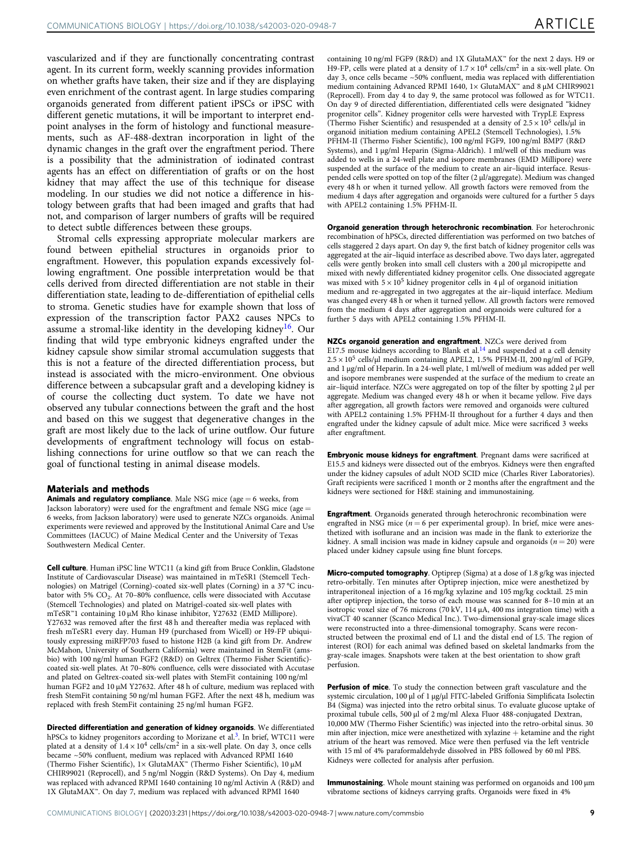vascularized and if they are functionally concentrating contrast agent. In its current form, weekly scanning provides information on whether grafts have taken, their size and if they are displaying even enrichment of the contrast agent. In large studies comparing organoids generated from different patient iPSCs or iPSC with different genetic mutations, it will be important to interpret endpoint analyses in the form of histology and functional measurements, such as AF-488-dextran incorporation in light of the dynamic changes in the graft over the engraftment period. There is a possibility that the administration of iodinated contrast agents has an effect on differentiation of grafts or on the host kidney that may affect the use of this technique for disease modeling. In our studies we did not notice a difference in histology between grafts that had been imaged and grafts that had not, and comparison of larger numbers of grafts will be required to detect subtle differences between these groups.

Stromal cells expressing appropriate molecular markers are found between epithelial structures in organoids prior to engraftment. However, this population expands excessively following engraftment. One possible interpretation would be that cells derived from directed differentiation are not stable in their differentiation state, leading to de-differentiation of epithelial cells to stroma. Genetic studies have for example shown that loss of expression of the transcription factor PAX2 causes NPCs to assume a stromal-like identity in the developing kidney<sup>[16](#page-10-0)</sup>. Our finding that wild type embryonic kidneys engrafted under the kidney capsule show similar stromal accumulation suggests that this is not a feature of the directed differentiation process, but instead is associated with the micro-environment. One obvious difference between a subcapsular graft and a developing kidney is of course the collecting duct system. To date we have not observed any tubular connections between the graft and the host and based on this we suggest that degenerative changes in the graft are most likely due to the lack of urine outflow. Our future developments of engraftment technology will focus on establishing connections for urine outflow so that we can reach the goal of functional testing in animal disease models.

## Materials and methods

**Animals and regulatory compliance**. Male NSG mice (age  $= 6$  weeks, from Jackson laboratory) were used for the engraftment and female NSG mice (age = 6 weeks, from Jackson laboratory) were used to generate NZCs organoids. Animal experiments were reviewed and approved by the Institutional Animal Care and Use Committees (IACUC) of Maine Medical Center and the University of Texas Southwestern Medical Center.

Cell culture. Human iPSC line WTC11 (a kind gift from Bruce Conklin, Gladstone Institute of Cardiovascular Disease) was maintained in mTeSR1 (Stemcell Technologies) on Matrigel (Corning)-coated six-well plates (Corning) in a 37 °C incubator with 5%  $CO_2$ . At 70-80% confluence, cells were dissociated with Accutase (Stemcell Technologies) and plated on Matrigel-coated six-well plates with mTeSR™1 containing 10 μM Rho kinase inhibitor, Y27632 (EMD Millipore). Y27632 was removed after the first 48 h and thereafter media was replaced with fresh mTeSR1 every day. Human H9 (purchased from Wicell) or H9-FP ubiquitously expressing miRFP703 fused to histone H2B (a kind gift from Dr. Andrew McMahon, University of Southern California) were maintained in StemFit (amsbio) with 100 ng/ml human FGF2 (R&D) on Geltrex (Thermo Fisher Scientific) coated six-well plates. At 70–80% confluence, cells were dissociated with Accutase and plated on Geltrex-coated six-well plates with StemFit containing 100 ng/ml human FGF2 and 10 μM Y27632. After 48 h of culture, medium was replaced with fresh StemFit containing 50 ng/ml human FGF2. After the next 48 h, medium was replaced with fresh StemFit containing 25 ng/ml human FGF2.

Directed differentiation and generation of kidney organoids. We differentiated hPSCs to kidney progenitors according to Morizane et al.<sup>[3](#page-9-0)</sup>. In brief, WTC11 were plated at a density of  $1.4 \times 10^4$  cells/cm<sup>2</sup> in a six-well plate. On day 3, once cells became ~50% confluent, medium was replaced with Advanced RPMI 1640 (Thermo Fisher Scientific), 1× GlutaMAX™ (Thermo Fisher Scientific), 10 μM CHIR99021 (Reprocell), and 5 ng/ml Noggin (R&D Systems). On Day 4, medium was replaced with advanced RPMI 1640 containing 10 ng/ml Activin A (R&D) and 1X GlutaMAX™. On day 7, medium was replaced with advanced RPMI 1640

containing 10 ng/ml FGF9 (R&D) and 1X GlutaMAX™ for the next 2 days. H9 or H9-FP, cells were plated at a density of  $1.7 \times 10^4$  cells/cm<sup>2</sup> in a six-well plate. On day 3, once cells became ~50% confluent, media was replaced with differentiation medium containing Advanced RPMI 1640, 1× GlutaMAX<sup>™</sup> and 8 μM CHIR99021 (Reprocell). From day 4 to day 9, the same protocol was followed as for WTC11. On day 9 of directed differentiation, differentiated cells were designated "kidney progenitor cells". Kidney progenitor cells were harvested with TrypLE Express (Thermo Fisher Scientific) and resuspended at a density of  $2.5 \times 10^5$  cells/ $\mu$ l in organoid initiation medium containing APEL2 (Stemcell Technologies), 1.5% PFHM‐II (Thermo Fisher Scientific), 100 ng/ml FGF9, 100 ng/ml BMP7 (R&D Systems), and 1 μg/ml Heparin (Sigma-Aldrich). 1 ml/well of this medium was added to wells in a 24-well plate and isopore membranes (EMD Millipore) were suspended at the surface of the medium to create an air–liquid interface. Resuspended cells were spotted on top of the filter (2 μl/aggregate). Medium was changed every 48 h or when it turned yellow. All growth factors were removed from the medium 4 days after aggregation and organoids were cultured for a further 5 days with APEL2 containing 1.5% PFHM-II.

Organoid generation through heterochronic recombination. For heterochronic recombination of hPSCs, directed differentiation was performed on two batches of cells staggered 2 days apart. On day 9, the first batch of kidney progenitor cells was aggregated at the air–liquid interface as described above. Two days later, aggregated cells were gently broken into small cell clusters with a 200 µl micropipette and mixed with newly differentiated kidney progenitor cells. One dissociated aggregate was mixed with  $5 \times 10^5$  kidney progenitor cells in 4  $\mu$ l of organoid initiation medium and re-aggregated in two aggregates at the air–liquid interface. Medium was changed every 48 h or when it turned yellow. All growth factors were removed from the medium 4 days after aggregation and organoids were cultured for a further 5 days with APEL2 containing 1.5% PFHM‐II.

NZCs organoid generation and engraftment. NZCs were derived from E17.5 mouse kidneys according to Blank et al. $^{14}$  $^{14}$  $^{14}$  and suspended at a cell density  $2.5 \times 10^5$  cells/µl medium containing APEL2, 1.5% PFHM-II, 200 ng/ml of FGF9, and 1 μg/ml of Heparin. In a 24-well plate, 1 ml/well of medium was added per well and isopore membranes were suspended at the surface of the medium to create an air-liquid interface. NZCs were aggregated on top of the filter by spotting 2 µl per aggregate. Medium was changed every 48 h or when it became yellow. Five days after aggregation, all growth factors were removed and organoids were cultured with APEL2 containing 1.5% PFHM-II throughout for a further 4 days and then engrafted under the kidney capsule of adult mice. Mice were sacrificed 3 weeks after engraftment.

Embryonic mouse kidneys for engraftment. Pregnant dams were sacrificed at E15.5 and kidneys were dissected out of the embryos. Kidneys were then engrafted under the kidney capsules of adult NOD SCID mice (Charles River Laboratories). Graft recipients were sacrificed 1 month or 2 months after the engraftment and the kidneys were sectioned for H&E staining and immunostaining.

Engraftment. Organoids generated through heterochronic recombination were engrafted in NSG mice ( $n = 6$  per experimental group). In brief, mice were anesthetized with isoflurane and an incision was made in the flank to exteriorize the kidney. A small incision was made in kidney capsule and organoids ( $n = 20$ ) were placed under kidney capsule using fine blunt forceps.

Micro-computed tomography. Optiprep (Sigma) at a dose of 1.8 g/kg was injected retro-orbitally. Ten minutes after Optiprep injection, mice were anesthetized by intraperitoneal injection of a 16 mg/kg xylazine and 105 mg/kg cocktail. 25 min after optiprep injection, the torso of each mouse was scanned for 8–10 min at an isotropic voxel size of 76 microns (70 kV, 114 μA, 400 ms integration time) with a vivaCT 40 scanner (Scanco Medical Inc.). Two-dimensional gray-scale image slices were reconstructed into a three-dimensional tomography. Scans were reconstructed between the proximal end of L1 and the distal end of L5. The region of interest (ROI) for each animal was defined based on skeletal landmarks from the gray-scale images. Snapshots were taken at the best orientation to show graft perfusion.

Perfusion of mice. To study the connection between graft vasculature and the systemic circulation, 100 μl of 1 μg/μl FITC-labeled Griffonia Simplificata Isolectin B4 (Sigma) was injected into the retro orbital sinus. To evaluate glucose uptake of proximal tubule cells, 500 µl of 2 mg/ml Alexa Fluor 488-conjugated Dextran, 10,000 MW (Thermo Fisher Scientific) was injected into the retro-orbital sinus. 30 min after injection, mice were anesthetized with  $xy$ lazine  $+$  ketamine and the right atrium of the heart was removed. Mice were then perfused via the left ventricle with 15 ml of 4% paraformaldehyde dissolved in PBS followed by 60 ml PBS. Kidneys were collected for analysis after perfusion.

Immunostaining. Whole mount staining was performed on organoids and 100 µm vibratome sections of kidneys carrying grafts. Organoids were fixed in 4%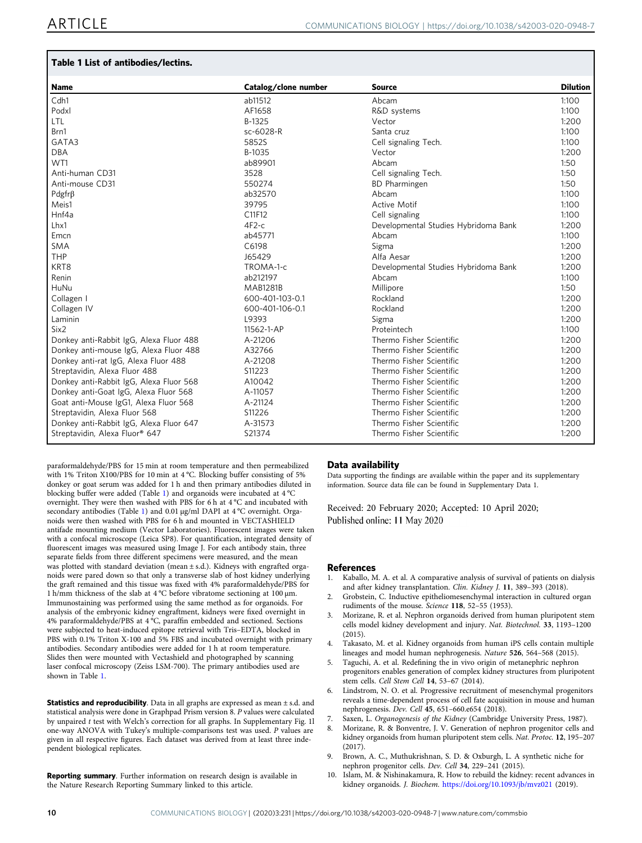# <span id="page-9-0"></span>Table 1 List of antibodies/lectins.

| <b>Name</b>                             | Catalog/clone number | <b>Source</b>                        | <b>Dilution</b> |
|-----------------------------------------|----------------------|--------------------------------------|-----------------|
| Cdh1                                    | ab11512              | Abcam                                | 1:100           |
| Podxl                                   | AF1658               | R&D systems                          | 1:100           |
| LTL                                     | B-1325               | Vector                               | 1:200           |
| Brn1                                    | sc-6028-R            | Santa cruz                           | 1:100           |
| GATA3                                   | 5852S                | Cell signaling Tech.                 | 1:100           |
| <b>DBA</b>                              | B-1035               | Vector                               | 1:200           |
| WT1                                     | ab89901              | Abcam                                | 1:50            |
| Anti-human CD31                         | 3528                 | Cell signaling Tech.                 | 1:50            |
| Anti-mouse CD31                         | 550274               | <b>BD</b> Pharmingen                 | 1:50            |
| $Pdgfr\beta$                            | ab32570              | Abcam                                | 1:100           |
| Meis1                                   | 39795                | <b>Active Motif</b>                  | 1:100           |
| Hnf4a                                   | C11F12               | Cell signaling                       | 1:100           |
| Lhx1                                    | $4F2-c$              | Developmental Studies Hybridoma Bank | 1:200           |
| Emcn                                    | ab45771              | Abcam                                | 1:100           |
| <b>SMA</b>                              | C6198                | Sigma                                | 1:200           |
| <b>THP</b>                              | J65429               | Alfa Aesar                           | 1:200           |
| KRT8                                    | TROMA-1-c            | Developmental Studies Hybridoma Bank | 1:200           |
| Renin                                   | ab212197             | Abcam                                | 1:100           |
| HuNu                                    | <b>MAB1281B</b>      | Millipore                            | 1:50            |
| Collagen I                              | 600-401-103-0.1      | Rockland                             | 1:200           |
| Collagen IV                             | 600-401-106-0.1      | Rockland                             | 1:200           |
| Laminin                                 | L9393                | Sigma                                | 1:200           |
| Six <sub>2</sub>                        | 11562-1-AP           | Proteintech                          | 1:100           |
| Donkey anti-Rabbit IgG, Alexa Fluor 488 | A-21206              | Thermo Fisher Scientific             | 1:200           |
| Donkey anti-mouse IgG, Alexa Fluor 488  | A32766               | Thermo Fisher Scientific             | 1:200           |
| Donkey anti-rat IgG, Alexa Fluor 488    | A-21208              | Thermo Fisher Scientific             | 1:200           |
| Streptavidin, Alexa Fluor 488           | S11223               | Thermo Fisher Scientific             | 1:200           |
| Donkey anti-Rabbit IgG, Alexa Fluor 568 | A10042               | Thermo Fisher Scientific             | 1:200           |
| Donkey anti-Goat IgG, Alexa Fluor 568   | A-11057              | Thermo Fisher Scientific             | 1:200           |
| Goat anti-Mouse IgG1, Alexa Fluor 568   | A-21124              | Thermo Fisher Scientific             | 1:200           |
| Streptavidin, Alexa Fluor 568           | S11226               | Thermo Fisher Scientific             | 1:200           |
| Donkey anti-Rabbit IgG, Alexa Fluor 647 | A-31573              | Thermo Fisher Scientific             | 1:200           |
| Streptavidin, Alexa Fluor® 647          | S21374               | Thermo Fisher Scientific             | 1:200           |

paraformaldehyde/PBS for 15 min at room temperature and then permeabilized with 1% Triton X100/PBS for 10 min at 4 °C. Blocking buffer consisting of 5% donkey or goat serum was added for 1 h and then primary antibodies diluted in blocking buffer were added (Table 1) and organoids were incubated at 4 °C overnight. They were then washed with PBS for 6 h at 4 °C and incubated with secondary antibodies (Table 1) and 0.01 µg/ml DAPI at 4 °C overnight. Organoids were then washed with PBS for 6 h and mounted in VECTASHIELD antifade mounting medium (Vector Laboratories). Fluorescent images were taken with a confocal microscope (Leica SP8). For quantification, integrated density of fluorescent images was measured using Image J. For each antibody stain, three separate fields from three different specimens were measured, and the mean was plotted with standard deviation (mean ± s.d.). Kidneys with engrafted organoids were pared down so that only a transverse slab of host kidney underlying the graft remained and this tissue was fixed with 4% paraformaldehyde/PBS for 1 h/mm thickness of the slab at 4 °C before vibratome sectioning at 100 µm. Immunostaining was performed using the same method as for organoids. For analysis of the embryonic kidney engraftment, kidneys were fixed overnight in 4% paraformaldehyde/PBS at 4 °C, paraffin embedded and sectioned. Sections were subjected to heat-induced epitope retrieval with Tris–EDTA, blocked in PBS with 0.1% Triton X-100 and 5% FBS and incubated overnight with primary antibodies. Secondary antibodies were added for 1 h at room temperature. Slides then were mounted with Vectashield and photographed by scanning laser confocal microscopy (Zeiss LSM-700). The primary antibodies used are shown in Table 1.

**Statistics and reproducibility**. Data in all graphs are expressed as mean  $\pm$  s.d. and statistical analysis were done in Graphpad Prism version 8. P values were calculated by unpaired t test with Welch's correction for all graphs. In Supplementary Fig. 1l one-way ANOVA with Tukey's multiple-comparisons test was used. P values are given in all respective figures. Each dataset was derived from at least three independent biological replicates.

Reporting summary. Further information on research design is available in the Nature Research Reporting Summary linked to this article.

# Data availability

Data supporting the findings are available within the paper and its supplementary information. Source data file can be found in Supplementary Data 1.

Received: 20 February 2020; Accepted: 10 April 2020; Published online: 11 May 2020

#### References

- Kaballo, M. A. et al. A comparative analysis of survival of patients on dialysis and after kidney transplantation. Clin. Kidney J. 11, 389–393 (2018).
- 2. Grobstein, C. Inductive epitheliomesenchymal interaction in cultured organ rudiments of the mouse. Science 118, 52–55 (1953).
- 3. Morizane, R. et al. Nephron organoids derived from human pluripotent stem cells model kidney development and injury. Nat. Biotechnol. 33, 1193–1200  $(2015)$
- Takasato, M. et al. Kidney organoids from human iPS cells contain multiple lineages and model human nephrogenesis. Nature 526, 564–568 (2015).
- 5. Taguchi, A. et al. Redefining the in vivo origin of metanephric nephron progenitors enables generation of complex kidney structures from pluripotent stem cells. Cell Stem Cell 14, 53–67 (2014).
- 6. Lindstrom, N. O. et al. Progressive recruitment of mesenchymal progenitors reveals a time-dependent process of cell fate acquisition in mouse and human nephrogenesis. Dev. Cell 45, 651–660.e654 (2018).
- 7. Saxen, L. Organogenesis of the Kidney (Cambridge University Press, 1987).
- Morizane, R. & Bonventre, J. V. Generation of nephron progenitor cells and kidney organoids from human pluripotent stem cells. Nat. Protoc. 12, 195–207  $(2017)$
- 9. Brown, A. C., Muthukrishnan, S. D. & Oxburgh, L. A synthetic niche for nephron progenitor cells. Dev. Cell 34, 229–241 (2015).
- 10. Islam, M. & Nishinakamura, R. How to rebuild the kidney: recent advances in kidney organoids. J. Biochem. <https://doi.org/10.1093/jb/mvz021> (2019).